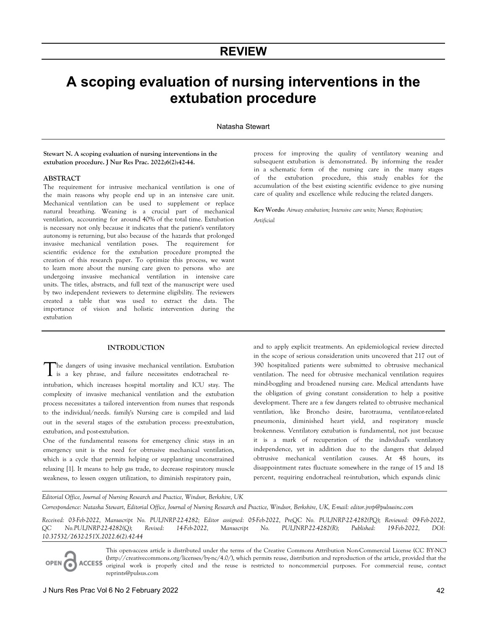# **REVIEW**

# **A scoping evaluation of nursing interventions in the extubation procedure**

Natasha Stewart

**Stewart N. A scoping evaluation of nursing interventions in the extubation procedure. J Nur Res Prac. 2022;6(2):42-44.** 

## **ABSTRACT**

The requirement for intrusive mechanical ventilation is one of the main reasons why people end up in an intensive care unit. Mechanical ventilation can be used to supplement or replace natural breathing. Weaning is a crucial part of mechanical ventilation, accounting for around 40% of the total time. Extubation is necessary not only because it indicates that the patient's ventilatory autonomy is returning, but also because of the hazards that prolonged invasive mechanical ventilation poses. The requirement for scientific evidence for the extubation procedure prompted the creation of this research paper. To optimize this process, we want to learn more about the nursing care given to persons who are undergoing invasive mechanical ventilation in intensive care units. The titles, abstracts, and full text of the manuscript were used by two independent reviewers to determine eligibility. The reviewers created a table that was used to extract the data. The importance of vision and holistic intervention during the extubation

#### **INTRODUCTION**

he dangers of using invasive mechanical ventilation. Extubation The dangers of using invasive mechanical ventilation. Extubation is a key phrase, and failure necessitates endotracheal reintubation, which increases hospital mortality and ICU stay. The complexity of invasive mechanical ventilation and the extubation process necessitates a tailored intervention from nurses that responds to the individual/needs. family's Nursing care is compiled and laid out in the several stages of the extubation process: pre-extubation, extubation, and post-extubation.

One of the fundamental reasons for emergency clinic stays in an emergency unit is the need for obtrusive mechanical ventilation, which is a cycle that permits helping or supplanting unconstrained relaxing [1]. It means to help gas trade, to decrease respiratory muscle weakness, to lessen oxygen utilization, to diminish respiratory pain,

process for improving the quality of ventilatory weaning and subsequent extubation is demonstrated. By informing the reader in a schematic form of the nursing care in the many stages of the extubation procedure, this study enables for the accumulation of the best existing scientific evidence to give nursing care of quality and excellence while reducing the related dangers.

**Key Words:** *Airway extubation; Intensive care units; Nurses; Respiration; Artificial*

and to apply explicit treatments. An epidemiological review directed in the scope of serious consideration units uncovered that 217 out of 390 hospitalized patients were submitted to obtrusive mechanical ventilation. The need for obtrusive mechanical ventilation requires mind-boggling and broadened nursing care. Medical attendants have the obligation of giving constant consideration to help a positive development. There are a few dangers related to obtrusive mechanical ventilation, like Broncho desire, barotrauma, ventilator-related pneumonia, diminished heart yield, and respiratory muscle brokenness. Ventilatory extubation is fundamental, not just because it is a mark of recuperation of the individual's ventilatory independence, yet in addition due to the dangers that delayed obtrusive mechanical ventilation causes. At 48 hours, its disappointment rates fluctuate somewhere in the range of 15 and 18 percent, requiring endotracheal re-intubation, which expands clinic

*Editorial Office, Journal of Nursing Research and Practice, Windsor, Berkshire, UK* 

*Correspondence: Natasha Stewart, Editorial Office, Journal of Nursing Research and Practice, Windsor, Berkshire, UK, E-mail: editor.jnrp@pulsusinc.com* 

*Received: 03-Feb-2022, Manuscript No. PULJNRP-22-4282; Editor assigned: 05-Feb-2022, PreQC No. PULJNRP-22-4282(PQ); Reviewed: 09-Feb-2022, QC No.PULJNRP-22-4282(Q); Revised: 14-Feb-2022, Manuscript No. PULJNRP-22-4282(R); Published: 19-Feb-2022, DOI: 10.37532/2632-251X.2022.6(2).42-44* 

This open-access article is distributed under the terms of the Creative Commons Attribution Non-Commercial License (CC BY-NC) (http://creativecommons.org/licenses/by-nc/4.0/), which permits reuse, distribution and reproduction of the article, provided that the **ACCESS** original work is properly cited and the reuse is restricted to noncommercial purposes. For commercial reuse, contact reprints@pulsus.com

OPEN<sub>C</sub>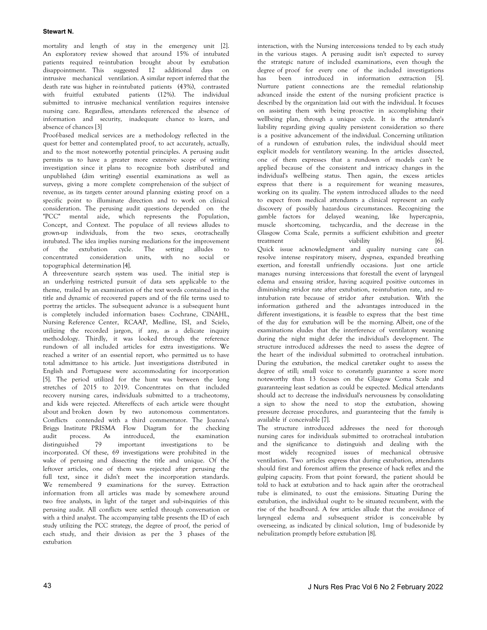# **Stewart N.**

mortality and length of stay in the emergency unit [2]. An exploratory review showed that around 15% of intubated patients required re-intubation brought about by extubation disappointment. This suggested 12 additional days on intrusive mechanical ventilation. A similar report inferred that the death rate was higher in re-intubated patients (43%), contrasted with fruitful extubated patients (12%). The individual submitted to intrusive mechanical ventilation requires intensive nursing care. Regardless, attendants referenced the absence of information and security, inadequate chance to learn, and absence of chances [3]

Proof-based medical services are a methodology reflected in the quest for better and contemplated proof, to act accurately, actually, and to the most noteworthy potential principles. A perusing audit permits us to have a greater more extensive scope of writing investigation since it plans to recognize both distributed and unpublished (dim writing) essential examinations as well as surveys, giving a more complete comprehension of the subject of revenue, as its targets center around planning existing proof on a specific point to illuminate direction and to work on clinical consideration. The perusing audit questions depended on the "PCC" mental aide, which represents the Population, Concept, and Context. The populace of all reviews alludes to grown-up individuals, from the two sexes, orotracheally intubated. The idea implies nursing mediations for the improvement of the extubation cycle. The setting alludes to concentrated consideration units, with no social or topographical determination [4].

A three-venture search system was used. The initial step is an underlying restricted pursuit of data sets applicable to the theme, trailed by an examination of the text words contained in the title and dynamic of recovered papers and of the file terms used to portray the articles. The subsequent advance is a subsequent hunt is completely included information bases: Cochrane, CINAHL, Nursing Reference Center, RCAAP, Medline, ISI, and Scielo, utilizing the recorded jargon, if any, as a delicate inquiry methodology. Thirdly, it was looked through the reference rundown of all included articles for extra investigations. We reached a writer of an essential report, who permitted us to have total admittance to his article. Just investigations distributed in English and Portuguese were accommodating for incorporation [5]. The period utilized for the hunt was between the long stretches of 2015 to 2019. Concentrates on that included recovery nursing cares, individuals submitted to a tracheotomy, and kids were rejected. Aftereffects of each article were thought about and broken down by two autonomous commentators. Conflicts contended with a third commentator. The Joanna's Briggs Institute PRISMA Flow Diagram for the checking audit process. As introduced, the examination distinguished 79 important investigations to be distinguished 79 important investigations to be incorporated. Of these, 69 investigations were prohibited in the wake of perusing and dissecting the title and unique. Of the leftover articles, one of them was rejected after perusing the full text, since it didn't meet the incorporation standards. We remembered 9 examinations for the survey. Extraction information from all articles was made by somewhere around two free analysts, in light of the target and sub-inquiries of this perusing audit. All conflicts were settled through conversation or with a third analyst. The accompanying table presents the ID of each study utilizing the PCC strategy, the degree of proof, the period of each study, and their division as per the 3 phases of the extubation

interaction, with the Nursing intercessions tended to by each study in the various stages. A perusing audit isn't expected to survey the strategic nature of included examinations, even though the degree of proof for every one of the included investigations has been introduced in information extraction [5]. Nurture patient connections are the remedial relationship advanced inside the extent of the nursing proficient practice is described by the organization laid out with the individual. It focuses on assisting them with being proactive in accomplishing their wellbeing plan, through a unique cycle. It is the attendant's liability regarding giving quality persistent consideration so there is a positive advancement of the individual. Concerning utilization of a rundown of extubation rules, the individual should meet explicit models for ventilatory weaning. In the articles dissected, one of them expresses that a rundown of models can't be applied because of the consistent and intricacy changes in the individual's wellbeing status. Then again, the excess articles express that there is a requirement for weaning measures, working on its quality. The system introduced alludes to the need to expect from medical attendants a clinical represent an early discovery of possibly hazardous circumstances. Recognizing the gamble factors for delayed weaning, like hypercapnia, muscle shortcoming, tachycardia, and the decrease in the Glasgow Coma Scale, permits a sufficient exhibition and greeter treatment viability (6). Quick issue acknowledgment and quality nursing care can resolve intense respiratory misery, dyspnea, expanded breathing exertion, and forestall unfriendly occasions. Just one article manages nursing intercessions that forestall the event of laryngeal edema and ensuing stridor, having acquired positive outcomes in diminishing stridor rate after extubation, re-intubation rate, and reintubation rate because of stridor after extubation. With the information gathered and the advantages introduced in the different investigations, it is feasible to express that the best time of the day for extubation will be the morning. Albeit, one of the examinations eludes that the interference of ventilatory weaning during the night might defer the individual's development. The structure introduced addresses the need to assess the degree of the heart of the individual submitted to orotracheal intubation. During the extubation, the medical caretaker ought to assess the degree of still; small voice to constantly guarantee a score more noteworthy than 13 focuses on the Glasgow Coma Scale and guaranteeing least sedation as could be expected. Medical attendants should act to decrease the individual's nervousness by consolidating a sign to show the need to stop the extubation, showing pressure decrease procedures, and guaranteeing that the family is available if conceivable [7].

The structure introduced addresses the need for thorough nursing cares for individuals submitted to orotracheal intubation and the significance to distinguish and dealing with the most widely recognized issues of mechanical obtrusive ventilation. Two articles express that during extubation, attendants should first and foremost affirm the presence of hack reflex and the gulping capacity. From that point forward, the patient should be told to hack at extubation and to hack again after the orotracheal tube is eliminated, to oust the emissions. Situating During the extubation, the individual ought to be situated recumbent, with the rise of the headboard. A few articles allude that the avoidance of laryngeal edema and subsequent stridor is conceivable by overseeing, as indicated by clinical solution, 1mg of budesonide by nebulization promptly before extubation [8].